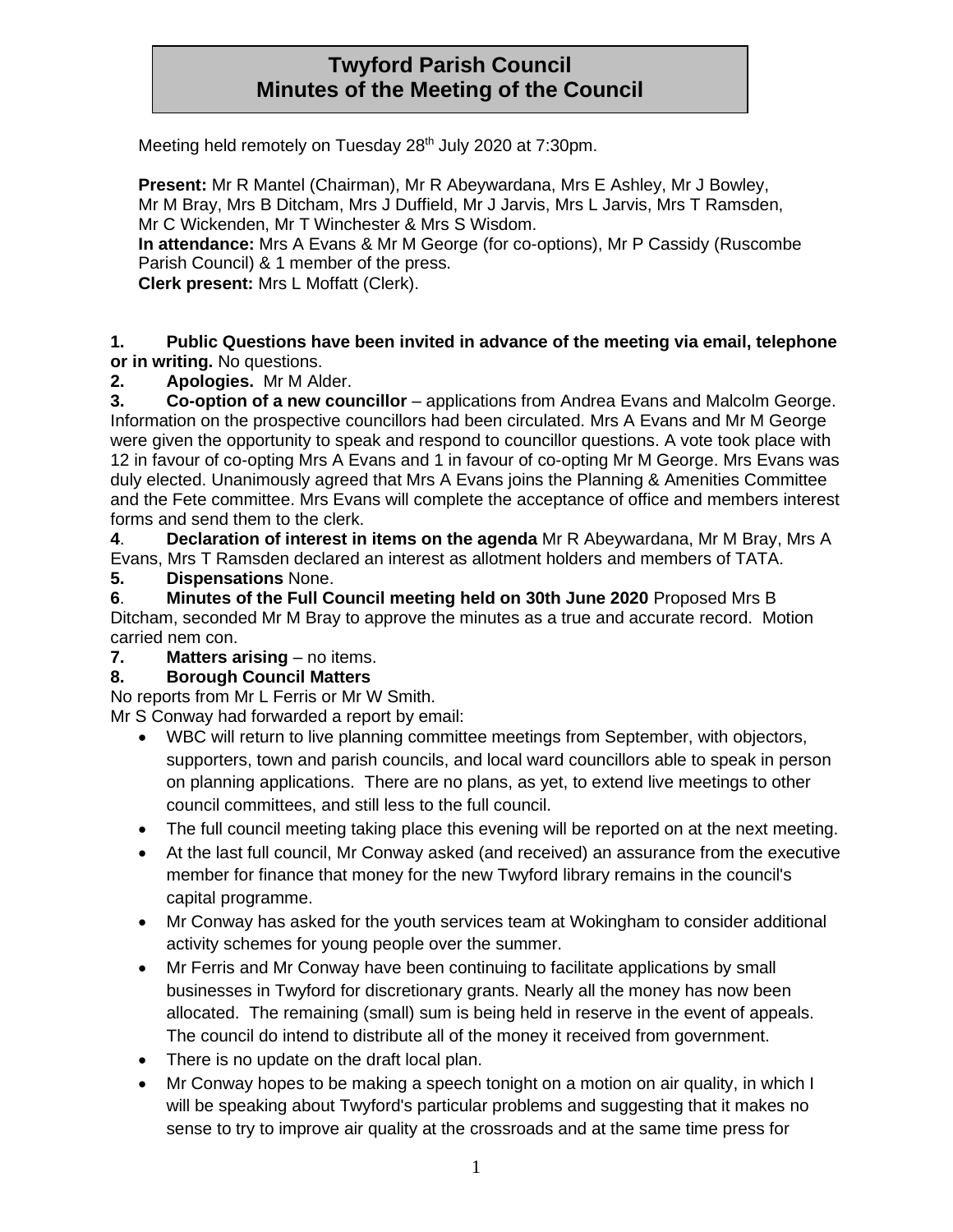# **Twyford Parish Council Minutes of the Meeting of the Council**

Meeting held remotely on Tuesday 28<sup>th</sup> July 2020 at 7:30pm.

**Present:** Mr R Mantel (Chairman), Mr R Abeywardana, Mrs E Ashley, Mr J Bowley, Mr M Bray, Mrs B Ditcham, Mrs J Duffield, Mr J Jarvis, Mrs L Jarvis, Mrs T Ramsden, Mr C Wickenden, Mr T Winchester & Mrs S Wisdom. **In attendance:** Mrs A Evans & Mr M George (for co-options), Mr P Cassidy (Ruscombe Parish Council) & 1 member of the press. **Clerk present:** Mrs L Moffatt (Clerk).

#### **1. Public Questions have been invited in advance of the meeting via email, telephone or in writing.** No questions.

## **2. Apologies.** Mr M Alder.

**3. Co-option of a new councillor** – applications from Andrea Evans and Malcolm George. Information on the prospective councillors had been circulated. Mrs A Evans and Mr M George were given the opportunity to speak and respond to councillor questions. A vote took place with 12 in favour of co-opting Mrs A Evans and 1 in favour of co-opting Mr M George. Mrs Evans was duly elected. Unanimously agreed that Mrs A Evans joins the Planning & Amenities Committee and the Fete committee. Mrs Evans will complete the acceptance of office and members interest forms and send them to the clerk.

**4**. **Declaration of interest in items on the agenda** Mr R Abeywardana, Mr M Bray, Mrs A Evans, Mrs T Ramsden declared an interest as allotment holders and members of TATA.

## **5. Dispensations** None.

**6**. **Minutes of the Full Council meeting held on 30th June 2020** Proposed Mrs B Ditcham, seconded Mr M Bray to approve the minutes as a true and accurate record. Motion carried nem con.

**7. Matters arising** – no items.

# **8. Borough Council Matters**

No reports from Mr L Ferris or Mr W Smith.

Mr S Conway had forwarded a report by email:

- WBC will return to live planning committee meetings from September, with objectors, supporters, town and parish councils, and local ward councillors able to speak in person on planning applications. There are no plans, as yet, to extend live meetings to other council committees, and still less to the full council.
- The full council meeting taking place this evening will be reported on at the next meeting.
- At the last full council, Mr Conway asked (and received) an assurance from the executive member for finance that money for the new Twyford library remains in the council's capital programme.
- Mr Conway has asked for the youth services team at Wokingham to consider additional activity schemes for young people over the summer.
- Mr Ferris and Mr Conway have been continuing to facilitate applications by small businesses in Twyford for discretionary grants. Nearly all the money has now been allocated. The remaining (small) sum is being held in reserve in the event of appeals. The council do intend to distribute all of the money it received from government.
- There is no update on the draft local plan.
- Mr Conway hopes to be making a speech tonight on a motion on air quality, in which I will be speaking about Twyford's particular problems and suggesting that it makes no sense to try to improve air quality at the crossroads and at the same time press for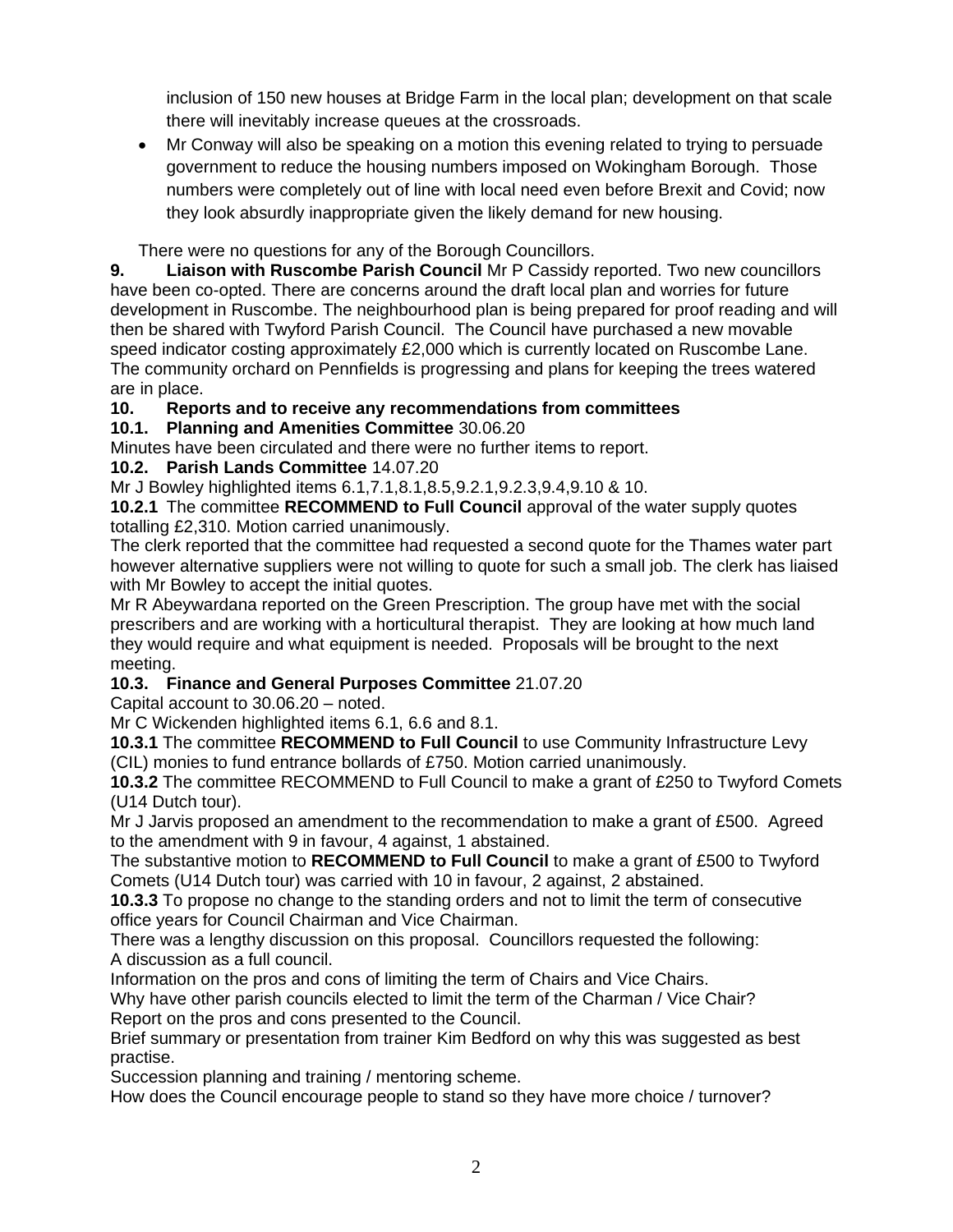inclusion of 150 new houses at Bridge Farm in the local plan; development on that scale there will inevitably increase queues at the crossroads.

• Mr Conway will also be speaking on a motion this evening related to trying to persuade government to reduce the housing numbers imposed on Wokingham Borough. Those numbers were completely out of line with local need even before Brexit and Covid; now they look absurdly inappropriate given the likely demand for new housing.

There were no questions for any of the Borough Councillors.

**9. Liaison with Ruscombe Parish Council** Mr P Cassidy reported. Two new councillors have been co-opted. There are concerns around the draft local plan and worries for future development in Ruscombe. The neighbourhood plan is being prepared for proof reading and will then be shared with Twyford Parish Council. The Council have purchased a new movable speed indicator costing approximately £2,000 which is currently located on Ruscombe Lane. The community orchard on Pennfields is progressing and plans for keeping the trees watered are in place.

**10. Reports and to receive any recommendations from committees**

## **10.1. Planning and Amenities Committee** 30.06.20

Minutes have been circulated and there were no further items to report.

## **10.2. Parish Lands Committee** 14.07.20

Mr J Bowley highlighted items 6.1,7.1,8.1,8.5,9.2.1,9.2.3,9.4,9.10 & 10.

**10.2.1** The committee **RECOMMEND to Full Council** approval of the water supply quotes totalling £2,310. Motion carried unanimously.

The clerk reported that the committee had requested a second quote for the Thames water part however alternative suppliers were not willing to quote for such a small job. The clerk has liaised with Mr Bowley to accept the initial quotes.

Mr R Abeywardana reported on the Green Prescription. The group have met with the social prescribers and are working with a horticultural therapist. They are looking at how much land they would require and what equipment is needed. Proposals will be brought to the next meeting.

# **10.3. Finance and General Purposes Committee** 21.07.20

Capital account to 30.06.20 – noted.

Mr C Wickenden highlighted items 6.1, 6.6 and 8.1.

**10.3.1** The committee **RECOMMEND to Full Council** to use Community Infrastructure Levy (CIL) monies to fund entrance bollards of £750. Motion carried unanimously.

**10.3.2** The committee RECOMMEND to Full Council to make a grant of £250 to Twyford Comets (U14 Dutch tour).

Mr J Jarvis proposed an amendment to the recommendation to make a grant of £500. Agreed to the amendment with 9 in favour, 4 against, 1 abstained.

The substantive motion to **RECOMMEND to Full Council** to make a grant of £500 to Twyford Comets (U14 Dutch tour) was carried with 10 in favour, 2 against, 2 abstained.

**10.3.3** To propose no change to the standing orders and not to limit the term of consecutive office years for Council Chairman and Vice Chairman.

There was a lengthy discussion on this proposal. Councillors requested the following: A discussion as a full council.

Information on the pros and cons of limiting the term of Chairs and Vice Chairs.

Why have other parish councils elected to limit the term of the Charman / Vice Chair? Report on the pros and cons presented to the Council.

Brief summary or presentation from trainer Kim Bedford on why this was suggested as best practise.

Succession planning and training / mentoring scheme.

How does the Council encourage people to stand so they have more choice / turnover?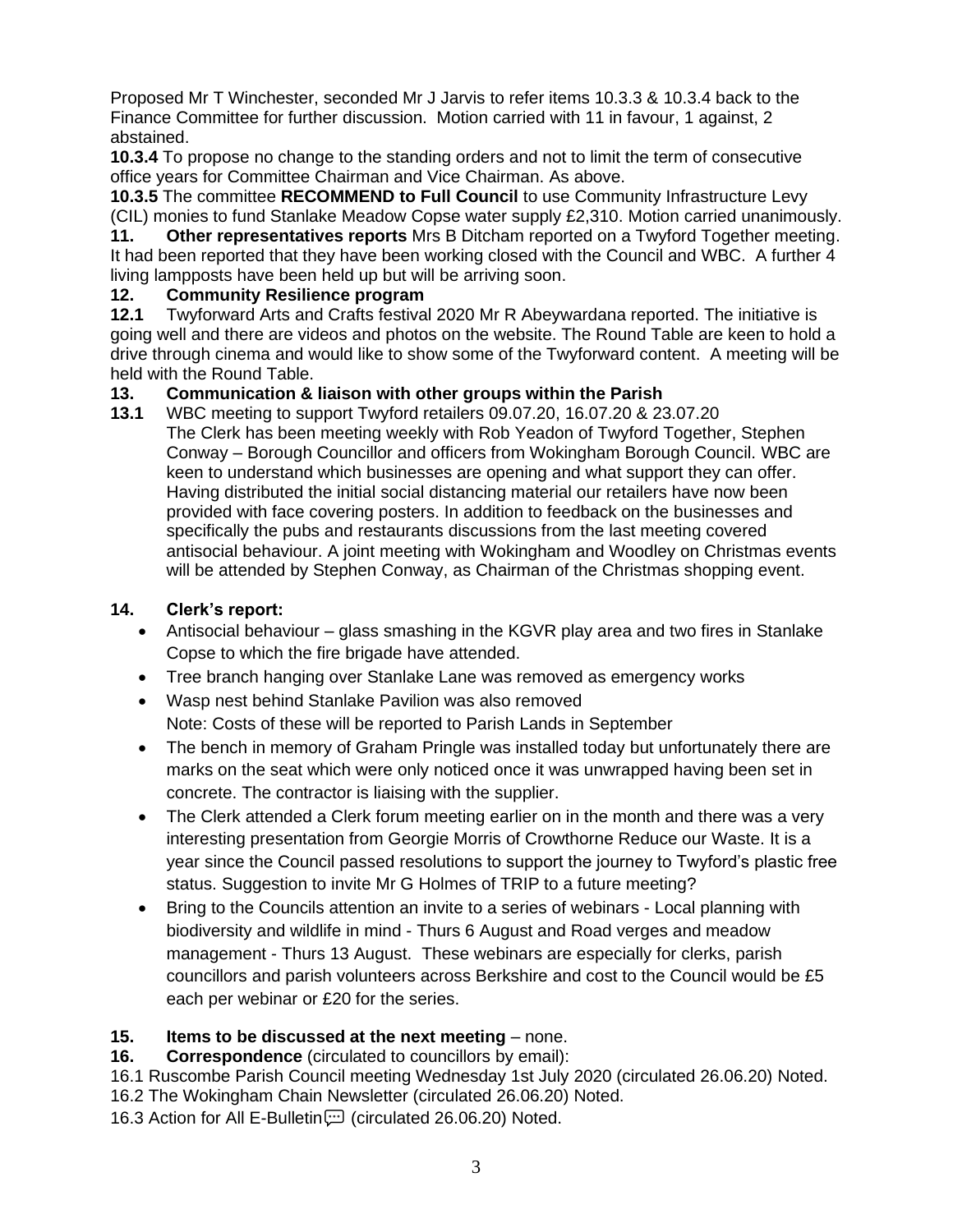Proposed Mr T Winchester, seconded Mr J Jarvis to refer items 10.3.3 & 10.3.4 back to the Finance Committee for further discussion. Motion carried with 11 in favour, 1 against, 2 abstained.

**10.3.4** To propose no change to the standing orders and not to limit the term of consecutive office years for Committee Chairman and Vice Chairman. As above.

**10.3.5** The committee **RECOMMEND to Full Council** to use Community Infrastructure Levy (CIL) monies to fund Stanlake Meadow Copse water supply £2,310. Motion carried unanimously.

**11. Other representatives reports** Mrs B Ditcham reported on a Twyford Together meeting. It had been reported that they have been working closed with the Council and WBC. A further 4 living lampposts have been held up but will be arriving soon.

#### **12. Community Resilience program**

**12.1** Twyforward Arts and Crafts festival 2020 Mr R Abeywardana reported. The initiative is going well and there are videos and photos on the website. The Round Table are keen to hold a drive through cinema and would like to show some of the Twyforward content. A meeting will be held with the Round Table.

#### **13. Communication & liaison with other groups within the Parish**

**13.1** WBC meeting to support Twyford retailers 09.07.20, 16.07.20 & 23.07.20 The Clerk has been meeting weekly with Rob Yeadon of Twyford Together, Stephen Conway – Borough Councillor and officers from Wokingham Borough Council. WBC are keen to understand which businesses are opening and what support they can offer. Having distributed the initial social distancing material our retailers have now been provided with face covering posters. In addition to feedback on the businesses and specifically the pubs and restaurants discussions from the last meeting covered antisocial behaviour. A joint meeting with Wokingham and Woodley on Christmas events will be attended by Stephen Conway, as Chairman of the Christmas shopping event.

## **14. Clerk's report:**

- Antisocial behaviour glass smashing in the KGVR play area and two fires in Stanlake Copse to which the fire brigade have attended.
- Tree branch hanging over Stanlake Lane was removed as emergency works
- Wasp nest behind Stanlake Pavilion was also removed Note: Costs of these will be reported to Parish Lands in September
- The bench in memory of Graham Pringle was installed today but unfortunately there are marks on the seat which were only noticed once it was unwrapped having been set in concrete. The contractor is liaising with the supplier.
- The Clerk attended a Clerk forum meeting earlier on in the month and there was a very interesting presentation from Georgie Morris of Crowthorne Reduce our Waste. It is a year since the Council passed resolutions to support the journey to Twyford's plastic free status. Suggestion to invite Mr G Holmes of TRIP to a future meeting?
- Bring to the Councils attention an invite to a series of webinars Local planning with biodiversity and wildlife in mind - Thurs 6 August and Road verges and meadow management - Thurs 13 August. These webinars are especially for clerks, parish councillors and parish volunteers across Berkshire and cost to the Council would be £5 each per webinar or £20 for the series.

#### **15. Items to be discussed at the next meeting** – none.

**16. Correspondence** (circulated to councillors by email):

16.1 Ruscombe Parish Council meeting Wednesday 1st July 2020 (circulated 26.06.20) Noted. 16.2 The Wokingham Chain Newsletter (circulated 26.06.20) Noted.

16.3 Action for All E-Bulletin (circulated 26.06.20) Noted.